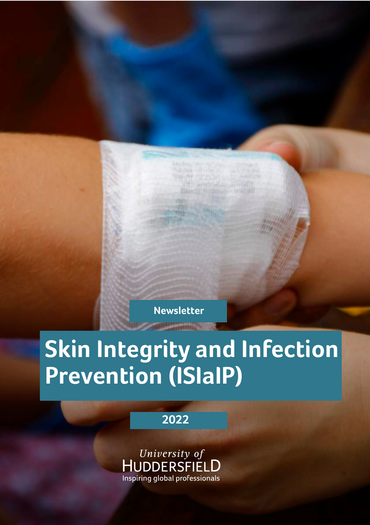**Newsletter**

# **Skin Integrity and Infection Prevention (ISIaIP)**

**2022**

University of<br>HUDDERSFIELD Inspiring global professionals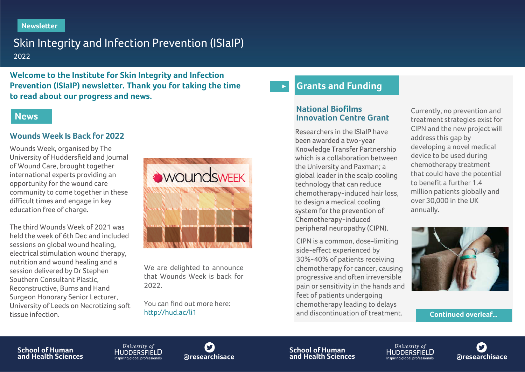#### **Newsletter**

# Skin Integrity and Infection Prevention (ISIaIP) 2022

**Welcome to the Institute for Skin Integrity and Infection Prevention (ISIaIP) newsletter. Thank you for taking the time to read about our progress and news.**

#### **News**

#### **Wounds Week Is Back for 2022**

Wounds Week, organised by The University of Huddersfield and Journal of Wound Care, brought together international experts providing an opportunity for the wound care community to come together in these difficult times and engage in key education free of charge.

The third Wounds Week of 2021 was held the week of 6th Dec and included sessions on global wound healing, electrical stimulation wound therapy, nutrition and wound healing and a session delivered by Dr Stephen Southern Consultant Plastic, Reconstructive, Burns and Hand Surgeon Honorary Senior Lecturer, University of Leeds on Necrotizing soft tissue infection.



We are delighted to announce that Wounds Week is back for 2022.

You can find out more here: <http://hud.ac/li1>

#### **Grants and Funding**   $\blacktriangleright$

#### **National Biofilms Innovation Centre Grant**

Researchers in the ISIaIP have been awarded a two-year Knowledge Transfer Partnership which is a collaboration between the University and Paxman; a global leader in the scalp cooling technology that can reduce chemotherapy-induced hair loss, to design a medical cooling system for the prevention of Chemotherapy-induced peripheral neuropathy (CIPN).

CIPN is a common, dose-limiting side-effect experienced by 30%-40% of patients receiving chemotherapy for cancer, causing progressive and often irreversible pain or sensitivity in the hands and feet of patients undergoing chemotherapy leading to delays and discontinuation of treatment.

Currently, no prevention and treatment strategies exist for CIPN and the new project will address this gap by developing a novel medical device to be used during chemotherapy treatment that could have the potential to benefit a further 1.4 million patients globally and over 30,000 in the UK annually.



**Continued overleaf…**

**School of Human and Health Sciences**

University of HUDDERSFIFI **D** 



**School of Human aresearchisace and Health Sciences and HUDDERSFIELD**<br> **and Health Sciences and thealth Sciences and theal expressionals are archisace** 

University of

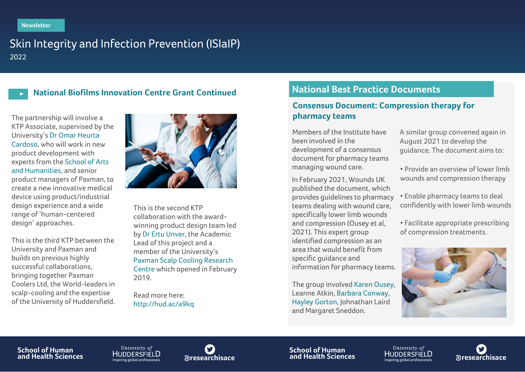# Skin Integrity and Infection Prevention (ISIaIP) 2022

#### **National Biofilms Innovation Centre Grant Continued**

The partnership will involve a KTP Associate, supervised by the University's [Dr Omar Heurta](https://pure.hud.ac.uk/en/persons/omar-ivan-huerta-cardoso)  [Cardoso](https://pure.hud.ac.uk/en/persons/omar-ivan-huerta-cardoso), who will work in new product development with experts from the [School of Arts](https://www.hud.ac.uk/about/schools/art-humanities/)  [and Humanities,](https://www.hud.ac.uk/about/schools/art-humanities/) and senior product managers of Paxman, to create a new innovative medical device using product/industrial design experience and a wide range of 'human-centered design' approaches.

This is the third KTP between the University and Paxman and builds on previous highly successful collaborations, bringing together Paxman Coolers Ltd, the World-leaders in scalp-cooling and the expertise of the University of Huddersfield.



This is the second KTP collaboration with the awardwinning product design team led b[y Dr Ertu Unver,](https://pure.hud.ac.uk/en/persons/ertu-unver) the Academic Lead of this project and a member of the University's [Paxman Scalp Cooling Research](https://www.hud.ac.uk/news/2019/february/paxman-scalp-cooling-research-centre-huddersfield/)  [Centre](https://www.hud.ac.uk/news/2019/february/paxman-scalp-cooling-research-centre-huddersfield/) which opened in February 2019.

Read more here: <http://hud.ac/a9kq>

## **National Best Practice Documents**

#### **Consensus Document: Compression therapy for pharmacy teams**

Members of the Institute have been involved in the development of a consensus document for pharmacy teams managing wound care.

In February 2021, Wounds UK published the document, which provides guidelines to pharmacy teams dealing with wound care, specifically lower limb wounds and compression (Ousey et al, 2021). This expert group identified compression as an area that would benefit from specific guidance and information for pharmacy teams.

The group involved [Karen Ousey,](https://pure.hud.ac.uk/en/persons/karen-ousey)  Leanne Atkin, [Barbara Conway,](https://pure.hud.ac.uk/en/persons/barbara-conway) [Hayley Gorton,](https://pure.hud.ac.uk/en/persons/hayley-gorton) Johnathan Laird and Margaret Sneddon.

A similar group convened again in August 2021 to develop the guidance. The document aims to:

- Provide an overview of lower limb wounds and compression therapy
- Enable pharmacy teams to deal confidently with lower limb wounds
- Facilitate appropriate prescribing of compression treatments.



#### **School of Human and Health Sciences**

University of HUDDERSFIELD



**School of Human @researchisace and Health Sciences @researchisace**

University of

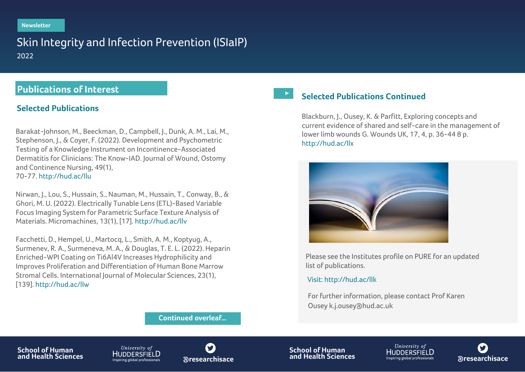# Skin Integrity and Infection Prevention (ISIaIP) 2022

## **Publications of Interest**

#### **Selected Publications**

Barakat-Johnson, M., Beeckman, D., Campbell, J., Dunk, A. M., Lai, M., Stephenson, J., & Coyer, F. (2022). Development and Psychometric Testing of a Knowledge Instrument on Incontinence-Associated Dermatitis for Clinicians: The Know-IAD. Journal of Wound, Ostomy and Continence Nursing, 49(1), 70-77. <http://hud.ac/llu>

Nirwan, J., Lou, S., Hussain, S., Nauman, M., Hussain, T., Conway, B., & Ghori, M. U. (2022). Electrically Tunable Lens (ETL)-Based Variable Focus Imaging System for Parametric Surface Texture Analysis of Materials. Micromachines, 13(1), [17]. http://hud.[ac/llv](http://hud.ac/llv)

Facchetti, D., Hempel, U., Martocq, L., Smith, A. M., Koptyug, A., Surmenev, R. A., Surmeneva, M. A., & Douglas, T. E. L. (2022). Heparin Enriched-WPI Coating on Ti6Al4V Increases Hydrophilicity and Improves Proliferation and Differentiation of Human Bone Marrow Stromal Cells. International Journal of Molecular Sciences, 23(1), [139]. http:/[/hud.ac/llw](http://hud.ac/llw)

#### **Selected Publications Continued**

Blackburn, J., Ousey, K. & Parfitt, Exploring concepts and current evidence of shared and self-care in the management of [lower limb wounds G](http://hud.ac/llx). Wounds UK, 17, 4, p. 36-44 8 p. http://hud.ac/llx



Please see the Institutes profile on PURE for an updated list of publications.

#### Visit: <http://hud.ac/llk>

For further information, please contact Prof Karen Ousey [k.j.ousey@hud.ac.uk](mailto:k.j.ousey@hud.ac.uk)

**Continued overleaf…**

**School of Human and Health Sciences**

University of HUDDERSFIËLD



**School of Human aresearchisace and Health Sciences and Health Sciences and Health Sciences and Health Sciences are are also and Health Sciences are also are also and Health Sciences** *are also all professionals* **are also als** 

University of